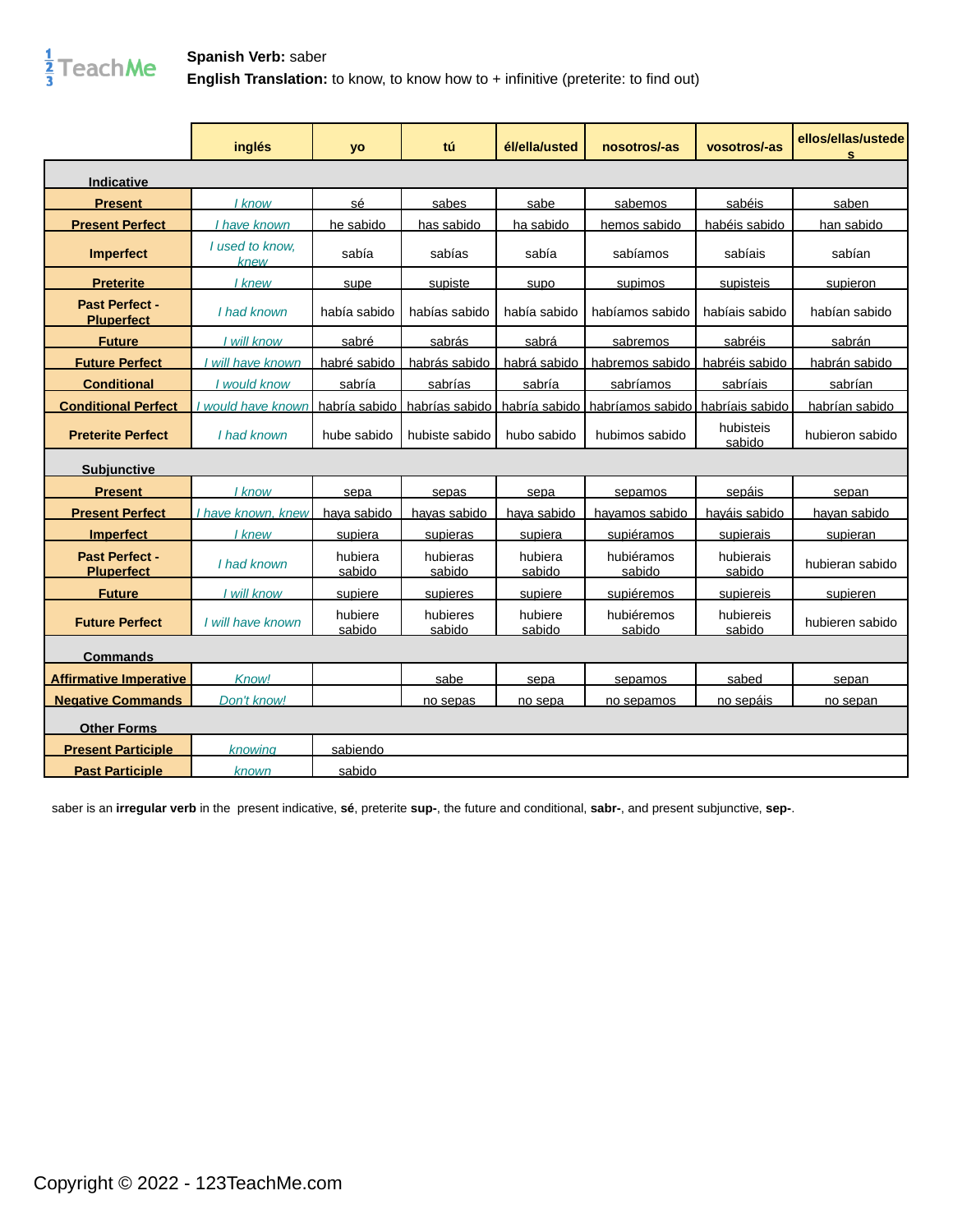

|                                     | inglés                  | <b>yo</b>          | tú                  | él/ella/usted     | nosotros/-as                     | vosotros/-as         | ellos/ellas/ustede<br>s |
|-------------------------------------|-------------------------|--------------------|---------------------|-------------------|----------------------------------|----------------------|-------------------------|
| Indicative                          |                         |                    |                     |                   |                                  |                      |                         |
| <b>Present</b>                      | I know                  | sé                 | sabes               | sabe              | sabemos                          | sabéis               | saben                   |
| <b>Present Perfect</b>              | have known              | he sabido          | has sabido          | ha sabido         | hemos sabido                     | habéis sabido        | han sabido              |
| Imperfect                           | I used to know.<br>knew | sabía              | sabías              | sabía             | sabíamos                         | sabíais              | sabían                  |
| <b>Preterite</b>                    | l knew                  | supe               | supiste             | supo              | supimos                          | supisteis            | supieron                |
| Past Perfect -<br><b>Pluperfect</b> | I had known             | había sabido       | habías sabido       | había sabido      | habíamos sabido                  | habíais sabido       | habían sabido           |
| <b>Future</b>                       | I will know             | sabré              | sabrás              | sabrá             | sabremos                         | sabréis              | sabrán                  |
| <b>Future Perfect</b>               | will have known         | habré sabido       | habrás sabido       | habrá sabido      | habremos sabido l                | habréis sabido       | habrán sabido           |
| <b>Conditional</b>                  | I would know            | sabría             | sabrías             | sabría            | sabríamos                        | sabríais             | sabrían                 |
| <b>Conditional Perfect</b>          | I would have known      | habría sabido      | habrías sabido      | habría sabido     | habríamos sabido habríais sabido |                      | habrían sabido          |
| <b>Preterite Perfect</b>            | I had known             | hube sabido        | hubiste sabido      | hubo sabido       | hubimos sabido                   | hubisteis<br>sabido  | hubieron sabido         |
| <b>Subiunctive</b>                  |                         |                    |                     |                   |                                  |                      |                         |
| <b>Present</b>                      | I know                  | sepa               | sepas               | sepa              | sepamos                          | sepáis               | sepan                   |
| <b>Present Perfect</b>              | I have known. knew      | <u>hava sabido</u> | <u>havas sabido</u> | hava sabido       | <u>havamos sabido</u>            | <u>haváis sabido</u> | <u>havan sabido</u>     |
| <b>Imperfect</b>                    | I knew                  | supiera            | supieras            | supiera           | supiéramos                       | supierais            | supieran                |
| Past Perfect -<br><b>Pluperfect</b> | I had known             | hubiera<br>sabido  | hubieras<br>sabido  | hubiera<br>sabido | hubiéramos<br>sabido             | hubierais<br>sabido  | hubieran sabido         |
| <b>Future</b>                       | I will know             | supiere            | supieres            | supiere           | supiéremos                       | supiereis            | supieren                |
| <b>Future Perfect</b>               | I will have known       | hubiere<br>sabido  | hubieres<br>sabido  | hubiere<br>sabido | hubiéremos<br>sabido             | hubiereis<br>sabido  | hubieren sabido         |
| <b>Commands</b>                     |                         |                    |                     |                   |                                  |                      |                         |
| <u>Affirmative Imperative</u>       | Know!                   |                    | sabe                | sepa              | sepamos                          | sabed                | sepan                   |
| <b>Negative Commands</b>            | Don't know!             |                    | no sepas            | no sepa           | no sepamos                       | no sepáis            | no sepan                |
| <b>Other Forms</b>                  |                         |                    |                     |                   |                                  |                      |                         |
| <b>Present Participle</b>           | knowina                 | sabiendo           |                     |                   |                                  |                      |                         |
| <b>Past Participle</b>              | known                   | sabido             |                     |                   |                                  |                      |                         |

saber is an **irregular verb** in the present indicative, **sé**, preterite **sup-**, the future and conditional, **sabr-**, and present subjunctive, **sep-**.